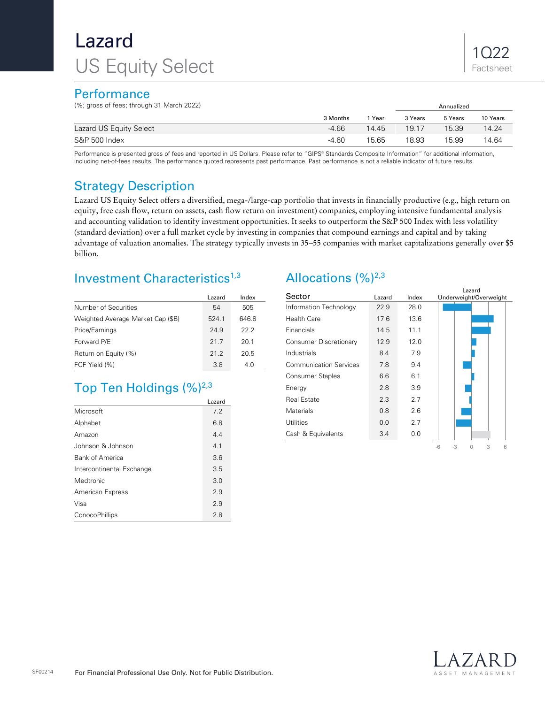# Lazard US Equity Select

# **Performance**

(%; gross of fees; through 31 March 2022) Annualized

| 3 Months | Year  | 3 Years | 5 Years | 10 Years            |
|----------|-------|---------|---------|---------------------|
| $-4.66$  | 14.45 | 19.17   | 15.39   | 14.24               |
| $-4.60$  | 15.65 | 18.93   | 15.99   | 14.64               |
|          |       |         |         | , ,,,,,,,,,,,,,,,,, |

Performance is presented gross of fees and reported in US Dollars. Please refer to "GIPS® Standards Composite Information" for additional information, including net-of-fees results. The performance quoted represents past performance. Past performance is not a reliable indicator of future results.

# Strategy Description

Lazard US Equity Select offers a diversified, mega-/large-cap portfolio that invests in financially productive (e.g., high return on equity, free cash flow, return on assets, cash flow return on investment) companies, employing intensive fundamental analysis and accounting validation to identify investment opportunities. It seeks to outperform the S&P 500 Index with less volatility (standard deviation) over a full market cycle by investing in companies that compound earnings and capital and by taking advantage of valuation anomalies. The strategy typically invests in 35–55 companies with market capitalizations generally over \$5 billion.

# Investment Characteristics<sup>1,3</sup>

|                                   | Lazard | Index |
|-----------------------------------|--------|-------|
| Number of Securities              | 54     | 505   |
| Weighted Average Market Cap (\$B) | 524.1  | 646.8 |
| Price/Earnings                    | 24.9   | 22.2  |
| Forward P/E                       | 217    | 20.1  |
| Return on Equity (%)              | 21.2   | 20.5  |
| FCF Yield (%)                     | 3.8    | 4.0   |

# Top Ten Holdings  $(%)^{2,3}$

|                           | Lazard |
|---------------------------|--------|
| Microsoft                 | 7.2    |
| Alphabet                  | 6.8    |
| Amazon                    | 4.4    |
| Johnson & Johnson         | 4.1    |
| <b>Bank of America</b>    | 3.6    |
| Intercontinental Exchange | 3.5    |
| <b>Medtronic</b>          | 3.0    |
| American Express          | 2.9    |
| Visa                      | 2.9    |
| ConocoPhillips            | 2.8    |

# Allocations  $(\frac{9}{6})^{2,3}$

|                               |        |       | Lazard                    |  |  |  |  |  |  |  |
|-------------------------------|--------|-------|---------------------------|--|--|--|--|--|--|--|
| Sector                        | Lazard | Index | Underweight/Overweight    |  |  |  |  |  |  |  |
| Information Technology        | 22.9   | 28.0  |                           |  |  |  |  |  |  |  |
| Health Care                   | 17.6   | 13.6  |                           |  |  |  |  |  |  |  |
| Financials                    | 14.5   | 11.1  |                           |  |  |  |  |  |  |  |
| Consumer Discretionary        | 12.9   | 12.0  |                           |  |  |  |  |  |  |  |
| Industrials                   | 8.4    | 7.9   |                           |  |  |  |  |  |  |  |
| <b>Communication Services</b> | 7.8    | 9.4   |                           |  |  |  |  |  |  |  |
| <b>Consumer Staples</b>       | 6.6    | 6.1   |                           |  |  |  |  |  |  |  |
| Energy                        | 2.8    | 3.9   |                           |  |  |  |  |  |  |  |
| <b>Real Estate</b>            | 2.3    | 2.7   |                           |  |  |  |  |  |  |  |
| <b>Materials</b>              | 0.8    | 2.6   |                           |  |  |  |  |  |  |  |
| Utilities                     | 0.0    | 2.7   |                           |  |  |  |  |  |  |  |
| Cash & Equivalents            | 3.4    | 0.0   |                           |  |  |  |  |  |  |  |
|                               |        |       | -3<br>3<br>$-6$<br>6<br>Ω |  |  |  |  |  |  |  |